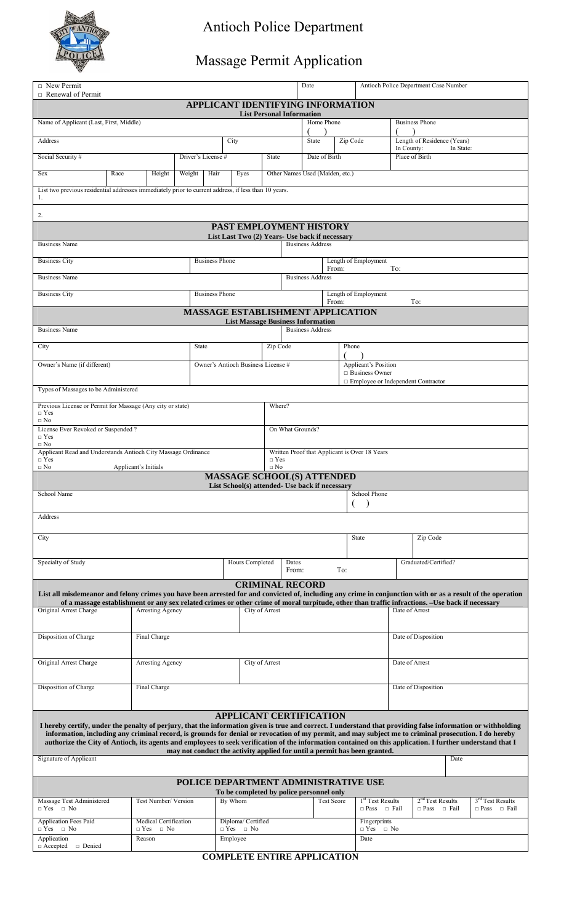

## Antioch Police Department

## Massage Permit Application

| $\Box$ New Permit                                                                                                                                                                                                                                                                                                                                                                                                                                                                   |                                                                                                                    |                                                                       |      |                    |                                    |                    |                                      |                                      |                                          | Antioch Police Department Case Number<br>Date |          |                                                                           |                      |                                                                                                                                                |                              |  |  |
|-------------------------------------------------------------------------------------------------------------------------------------------------------------------------------------------------------------------------------------------------------------------------------------------------------------------------------------------------------------------------------------------------------------------------------------------------------------------------------------|--------------------------------------------------------------------------------------------------------------------|-----------------------------------------------------------------------|------|--------------------|------------------------------------|--------------------|--------------------------------------|--------------------------------------|------------------------------------------|-----------------------------------------------|----------|---------------------------------------------------------------------------|----------------------|------------------------------------------------------------------------------------------------------------------------------------------------|------------------------------|--|--|
| $\Box$ Renewal of Permit<br>APPLICANT IDENTIFYING INFORMATION                                                                                                                                                                                                                                                                                                                                                                                                                       |                                                                                                                    |                                                                       |      |                    |                                    |                    |                                      |                                      |                                          |                                               |          |                                                                           |                      |                                                                                                                                                |                              |  |  |
|                                                                                                                                                                                                                                                                                                                                                                                                                                                                                     | <b>List Personal Information</b><br>Home Phone<br>Name of Applicant (Last, First, Middle)<br><b>Business Phone</b> |                                                                       |      |                    |                                    |                    |                                      |                                      |                                          |                                               |          |                                                                           |                      |                                                                                                                                                |                              |  |  |
| Address                                                                                                                                                                                                                                                                                                                                                                                                                                                                             |                                                                                                                    |                                                                       |      |                    | City                               |                    |                                      |                                      | State                                    |                                               | Zip Code |                                                                           |                      | Length of Residence (Years)                                                                                                                    |                              |  |  |
| Social Security #                                                                                                                                                                                                                                                                                                                                                                                                                                                                   |                                                                                                                    |                                                                       |      | Driver's License # |                                    |                    | <b>State</b>                         |                                      |                                          | Date of Birth                                 |          |                                                                           |                      | In County:<br>In State:<br>Place of Birth                                                                                                      |                              |  |  |
| Race<br>Weight<br><b>Sex</b><br>Height                                                                                                                                                                                                                                                                                                                                                                                                                                              |                                                                                                                    |                                                                       | Hair | Eyes               |                                    |                    | Other Names Used (Maiden, etc.)      |                                      |                                          |                                               |          |                                                                           |                      |                                                                                                                                                |                              |  |  |
| List two previous residential addresses immediately prior to current address, if less than 10 years.<br>1.                                                                                                                                                                                                                                                                                                                                                                          |                                                                                                                    |                                                                       |      |                    |                                    |                    |                                      |                                      |                                          |                                               |          |                                                                           |                      |                                                                                                                                                |                              |  |  |
| 2.                                                                                                                                                                                                                                                                                                                                                                                                                                                                                  |                                                                                                                    |                                                                       |      |                    |                                    |                    |                                      |                                      |                                          |                                               |          |                                                                           |                      |                                                                                                                                                |                              |  |  |
| PAST EMPLOYMENT HISTORY<br>List Last Two (2) Years- Use back if necessary                                                                                                                                                                                                                                                                                                                                                                                                           |                                                                                                                    |                                                                       |      |                    |                                    |                    |                                      |                                      |                                          |                                               |          |                                                                           |                      |                                                                                                                                                |                              |  |  |
| <b>Business Address</b><br><b>Business Name</b>                                                                                                                                                                                                                                                                                                                                                                                                                                     |                                                                                                                    |                                                                       |      |                    |                                    |                    |                                      |                                      |                                          |                                               |          |                                                                           |                      |                                                                                                                                                |                              |  |  |
| <b>Business City</b><br><b>Business Phone</b>                                                                                                                                                                                                                                                                                                                                                                                                                                       |                                                                                                                    |                                                                       |      |                    |                                    |                    |                                      | Length of Employment<br>To:<br>From: |                                          |                                               |          |                                                                           |                      |                                                                                                                                                |                              |  |  |
| <b>Business Name</b>                                                                                                                                                                                                                                                                                                                                                                                                                                                                |                                                                                                                    |                                                                       |      |                    |                                    |                    |                                      | <b>Business Address</b>              |                                          |                                               |          |                                                                           |                      |                                                                                                                                                |                              |  |  |
| <b>Business Phone</b><br><b>Business City</b>                                                                                                                                                                                                                                                                                                                                                                                                                                       |                                                                                                                    |                                                                       |      |                    |                                    |                    | Length of Employment<br>From:<br>To: |                                      |                                          |                                               |          |                                                                           |                      |                                                                                                                                                |                              |  |  |
| <b>MASSAGE ESTABLISHMENT APPLICATION</b><br><b>List Massage Business Information</b>                                                                                                                                                                                                                                                                                                                                                                                                |                                                                                                                    |                                                                       |      |                    |                                    |                    |                                      |                                      |                                          |                                               |          |                                                                           |                      |                                                                                                                                                |                              |  |  |
| <b>Business Name</b>                                                                                                                                                                                                                                                                                                                                                                                                                                                                |                                                                                                                    |                                                                       |      |                    |                                    |                    |                                      |                                      | <b>Business Address</b>                  |                                               |          |                                                                           |                      |                                                                                                                                                |                              |  |  |
| City                                                                                                                                                                                                                                                                                                                                                                                                                                                                                |                                                                                                                    |                                                                       |      | <b>State</b>       |                                    |                    | Zip Code                             |                                      |                                          |                                               | Phone    |                                                                           |                      |                                                                                                                                                |                              |  |  |
| Owner's Name (if different)                                                                                                                                                                                                                                                                                                                                                                                                                                                         |                                                                                                                    |                                                                       |      |                    | Owner's Antioch Business License # |                    |                                      |                                      |                                          |                                               |          | Applicant's Position<br>$\Box$ Business Owner                             |                      |                                                                                                                                                |                              |  |  |
| Types of Massages to be Administered                                                                                                                                                                                                                                                                                                                                                                                                                                                |                                                                                                                    |                                                                       |      |                    |                                    |                    |                                      |                                      |                                          |                                               |          |                                                                           |                      | $\Box$ Employee or Independent Contractor                                                                                                      |                              |  |  |
| Previous License or Permit for Massage (Any city or state)<br>$\Box$ Yes<br>$\Box$ No                                                                                                                                                                                                                                                                                                                                                                                               |                                                                                                                    |                                                                       |      |                    |                                    |                    |                                      |                                      | Where?                                   |                                               |          |                                                                           |                      |                                                                                                                                                |                              |  |  |
| License Ever Revoked or Suspended?<br>$\Box$ Yes                                                                                                                                                                                                                                                                                                                                                                                                                                    |                                                                                                                    |                                                                       |      |                    |                                    |                    |                                      |                                      | On What Grounds?                         |                                               |          |                                                                           |                      |                                                                                                                                                |                              |  |  |
| $\Box$ No<br>Applicant Read and Understands Antioch City Massage Ordinance<br>Written Proof that Applicant is Over 18 Years<br>$\Box$ Yes<br>$\Box$ Yes                                                                                                                                                                                                                                                                                                                             |                                                                                                                    |                                                                       |      |                    |                                    |                    |                                      |                                      |                                          |                                               |          |                                                                           |                      |                                                                                                                                                |                              |  |  |
| $\Box$ No<br>$\Box$ No<br>Applicant's Initials<br><b>MASSAGE SCHOOL(S) ATTENDED</b>                                                                                                                                                                                                                                                                                                                                                                                                 |                                                                                                                    |                                                                       |      |                    |                                    |                    |                                      |                                      |                                          |                                               |          |                                                                           |                      |                                                                                                                                                |                              |  |  |
| List School(s) attended- Use back if necessary<br>School Name<br>School Phone                                                                                                                                                                                                                                                                                                                                                                                                       |                                                                                                                    |                                                                       |      |                    |                                    |                    |                                      |                                      |                                          |                                               |          |                                                                           |                      |                                                                                                                                                |                              |  |  |
| Address                                                                                                                                                                                                                                                                                                                                                                                                                                                                             |                                                                                                                    |                                                                       |      |                    |                                    |                    |                                      |                                      |                                          |                                               |          |                                                                           |                      |                                                                                                                                                |                              |  |  |
| City                                                                                                                                                                                                                                                                                                                                                                                                                                                                                |                                                                                                                    |                                                                       |      |                    |                                    |                    |                                      |                                      |                                          |                                               |          | <b>State</b>                                                              |                      | Zip Code                                                                                                                                       |                              |  |  |
| Specialty of Study                                                                                                                                                                                                                                                                                                                                                                                                                                                                  |                                                                                                                    |                                                                       |      | Hours Completed    |                                    |                    |                                      | Dates<br>To:<br>From:                |                                          |                                               |          |                                                                           | Graduated/Certified? |                                                                                                                                                |                              |  |  |
|                                                                                                                                                                                                                                                                                                                                                                                                                                                                                     |                                                                                                                    |                                                                       |      |                    |                                    |                    |                                      |                                      | <b>CRIMINAL RECORD</b>                   |                                               |          |                                                                           |                      |                                                                                                                                                |                              |  |  |
| List all misdemeanor and felony crimes you have been arrested for and convicted of, including any crime in conjunction with or as a result of the operation                                                                                                                                                                                                                                                                                                                         |                                                                                                                    |                                                                       |      |                    |                                    |                    |                                      |                                      |                                          |                                               |          |                                                                           |                      | of a massage establishment or any sex related crimes or other crime of moral turpitude, other than traffic infractions. -Use back if necessary |                              |  |  |
| Original Arrest Charge                                                                                                                                                                                                                                                                                                                                                                                                                                                              |                                                                                                                    | Arresting Agency                                                      |      |                    |                                    | City of Arrest     |                                      |                                      |                                          |                                               |          |                                                                           |                      | Date of Arrest                                                                                                                                 |                              |  |  |
| Disposition of Charge                                                                                                                                                                                                                                                                                                                                                                                                                                                               |                                                                                                                    | Final Charge                                                          |      |                    |                                    |                    |                                      |                                      |                                          |                                               |          |                                                                           | Date of Disposition  |                                                                                                                                                |                              |  |  |
| Original Arrest Charge                                                                                                                                                                                                                                                                                                                                                                                                                                                              | Arresting Agency                                                                                                   |                                                                       |      |                    |                                    | City of Arrest     |                                      |                                      |                                          |                                               |          |                                                                           | Date of Arrest       |                                                                                                                                                |                              |  |  |
| Disposition of Charge                                                                                                                                                                                                                                                                                                                                                                                                                                                               | Final Charge                                                                                                       |                                                                       |      |                    |                                    |                    | Date of Disposition                  |                                      |                                          |                                               |          |                                                                           |                      |                                                                                                                                                |                              |  |  |
|                                                                                                                                                                                                                                                                                                                                                                                                                                                                                     |                                                                                                                    |                                                                       |      |                    |                                    |                    |                                      |                                      | <b>APPLICANT CERTIFICATION</b>           |                                               |          |                                                                           |                      |                                                                                                                                                |                              |  |  |
| I hereby certify, under the penalty of perjury, that the information given is true and correct. I understand that providing false information or withholding<br>information, including any criminal record, is grounds for denial or revocation of my permit, and may subject me to criminal prosecution. I do hereby<br>authorize the City of Antioch, its agents and employees to seek verification of the information contained on this application. I further understand that I |                                                                                                                    |                                                                       |      |                    |                                    |                    |                                      |                                      |                                          |                                               |          |                                                                           |                      |                                                                                                                                                |                              |  |  |
| Signature of Applicant                                                                                                                                                                                                                                                                                                                                                                                                                                                              |                                                                                                                    |                                                                       |      |                    |                                    |                    |                                      |                                      |                                          |                                               |          | may not conduct the activity applied for until a permit has been granted. |                      | Date                                                                                                                                           |                              |  |  |
|                                                                                                                                                                                                                                                                                                                                                                                                                                                                                     |                                                                                                                    |                                                                       |      |                    |                                    |                    |                                      |                                      |                                          |                                               |          | POLICE DEPARTMENT ADMINISTRATIVE USE                                      |                      |                                                                                                                                                |                              |  |  |
| Massage Test Administered                                                                                                                                                                                                                                                                                                                                                                                                                                                           |                                                                                                                    | Test Number/ Version                                                  |      |                    | By Whom                            |                    |                                      |                                      | To be completed by police personnel only | <b>Test Score</b>                             |          | 1 <sup>st</sup> Test Results                                              |                      | $2nd$ Test Results                                                                                                                             | 3 <sup>rd</sup> Test Results |  |  |
| $\Box$ Yes $\Box$ No                                                                                                                                                                                                                                                                                                                                                                                                                                                                |                                                                                                                    |                                                                       |      |                    |                                    | Diploma/ Certified |                                      |                                      |                                          |                                               |          | $\Box$ Pass $\Box$ Fail                                                   |                      | $\Box$ Pass $\Box$ Fail                                                                                                                        | $\Box$ Pass $\Box$ Fail      |  |  |
| Application Fees Paid<br>$\Box$ Yes $\Box$ No                                                                                                                                                                                                                                                                                                                                                                                                                                       |                                                                                                                    | Medical Certification<br>$\Box$ Yes $\Box$ No<br>$\Box$ Yes $\Box$ No |      |                    |                                    |                    |                                      |                                      |                                          |                                               |          | Fingerprints<br>$\Box$ Yes<br>$\Box$ No                                   |                      |                                                                                                                                                |                              |  |  |
| Application<br>$\Box$ Accepted $\Box$ Denied                                                                                                                                                                                                                                                                                                                                                                                                                                        |                                                                                                                    | Employee<br>Reason                                                    |      |                    |                                    |                    |                                      |                                      | Date                                     |                                               |          |                                                                           |                      |                                                                                                                                                |                              |  |  |

**COMPLETE ENTIRE APPLICATION**